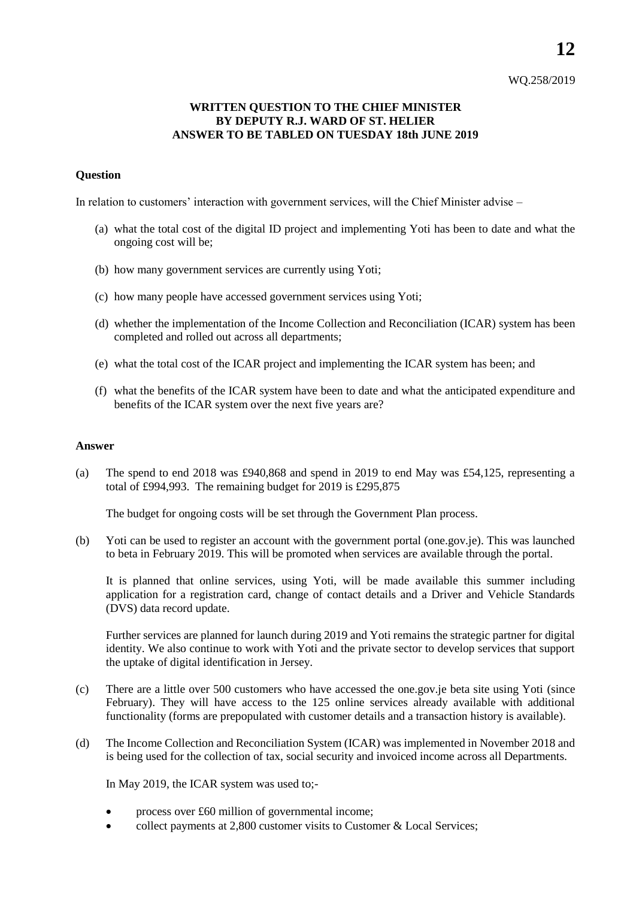## WQ.258/2019

## **WRITTEN QUESTION TO THE CHIEF MINISTER BY DEPUTY R.J. WARD OF ST. HELIER ANSWER TO BE TABLED ON TUESDAY 18th JUNE 2019**

## **Question**

In relation to customers' interaction with government services, will the Chief Minister advise –

- (a) what the total cost of the digital ID project and implementing Yoti has been to date and what the ongoing cost will be;
- (b) how many government services are currently using Yoti;
- (c) how many people have accessed government services using Yoti;
- (d) whether the implementation of the Income Collection and Reconciliation (ICAR) system has been completed and rolled out across all departments;
- (e) what the total cost of the ICAR project and implementing the ICAR system has been; and
- (f) what the benefits of the ICAR system have been to date and what the anticipated expenditure and benefits of the ICAR system over the next five years are?

## **Answer**

(a) The spend to end 2018 was  $\text{\textsterling}940,868$  and spend in 2019 to end May was £54,125, representing a total of £994,993. The remaining budget for 2019 is £295,875

The budget for ongoing costs will be set through the Government Plan process.

(b) Yoti can be used to register an account with the government portal (one.gov.je). This was launched to beta in February 2019. This will be promoted when services are available through the portal.

It is planned that online services, using Yoti, will be made available this summer including application for a registration card, change of contact details and a Driver and Vehicle Standards (DVS) data record update.

Further services are planned for launch during 2019 and Yoti remains the strategic partner for digital identity. We also continue to work with Yoti and the private sector to develop services that support the uptake of digital identification in Jersey.

- (c) There are a little over 500 customers who have accessed the one.gov.je beta site using Yoti (since February). They will have access to the 125 online services already available with additional functionality (forms are prepopulated with customer details and a transaction history is available).
- (d) The Income Collection and Reconciliation System (ICAR) was implemented in November 2018 and is being used for the collection of tax, social security and invoiced income across all Departments.

In May 2019, the ICAR system was used to;-

- process over £60 million of governmental income;
- collect payments at 2,800 customer visits to Customer & Local Services;